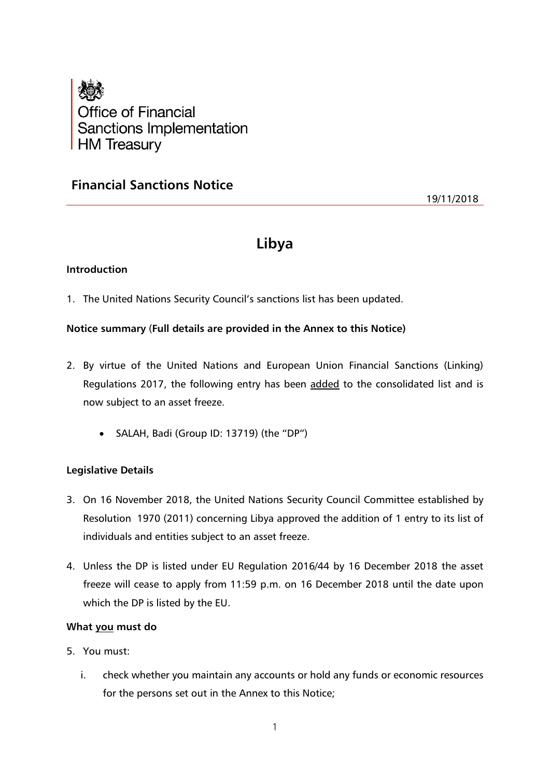

# **Financial Sanctions Notice**

19/11/2018

# **Libya**

# **Introduction**

1. The United Nations Security Council's sanctions list has been updated.

## **Notice summary** (**Full details are provided in the Annex to this Notice)**

- 2. By virtue of the United Nations and European Union Financial Sanctions (Linking) Regulations 2017, the following entry has been added to the consolidated list and is now subject to an asset freeze.
	- SALAH, Badi (Group ID: 13719) (the "DP")

## **Legislative Details**

- 3. On 16 November 2018, the United Nations Security Council Committee established by Resolution 1970 (2011) concerning Libya approved the addition of 1 entry to its list of individuals and entities subject to an asset freeze.
- 4. Unless the DP is listed under EU Regulation 2016/44 by 16 December 2018 the asset freeze will cease to apply from 11:59 p.m. on 16 December 2018 until the date upon which the DP is listed by the EU.

## **What you must do**

- 5. You must:
	- i. check whether you maintain any accounts or hold any funds or economic resources for the persons set out in the Annex to this Notice;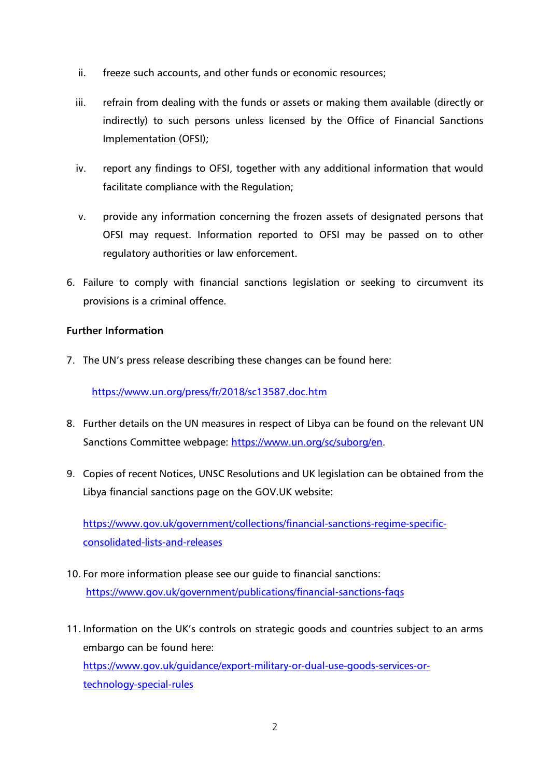- ii. freeze such accounts, and other funds or economic resources;
- iii. refrain from dealing with the funds or assets or making them available (directly or indirectly) to such persons unless licensed by the Office of Financial Sanctions Implementation (OFSI);
- iv. report any findings to OFSI, together with any additional information that would facilitate compliance with the Regulation;
- v. provide any information concerning the frozen assets of designated persons that OFSI may request. Information reported to OFSI may be passed on to other regulatory authorities or law enforcement.
- 6. Failure to comply with financial sanctions legislation or seeking to circumvent its provisions is a criminal offence.

# **Further Information**

7. The UN's press release describing these changes can be found here:

<https://www.un.org/press/fr/2018/sc13587.doc.htm>

- 8. Further details on the UN measures in respect of Libya can be found on the relevant UN Sanctions Committee webpage: [https://www.un.org/sc/suborg/en.](https://www.un.org/sc/suborg/en)
- 9. Copies of recent Notices, UNSC Resolutions and UK legislation can be obtained from the Libya financial sanctions page on the GOV.UK website:

[https://www.gov.uk/government/collections/financial-sanctions-regime-specific](https://www.gov.uk/government/collections/financial-sanctions-regime-specific-consolidated-lists-and-releases)[consolidated-lists-and-releases](https://www.gov.uk/government/collections/financial-sanctions-regime-specific-consolidated-lists-and-releases)

- 10. For more information please see our guide to financial sanctions: <https://www.gov.uk/government/publications/financial-sanctions-faqs>
- 11. Information on the UK's controls on strategic goods and countries subject to an arms embargo can be found here: [https://www.gov.uk/guidance/export-military-or-dual-use-goods-services-or](https://www.gov.uk/guidance/export-military-or-dual-use-goods-services-or-technology-special-rules)[technology-special-rules](https://www.gov.uk/guidance/export-military-or-dual-use-goods-services-or-technology-special-rules)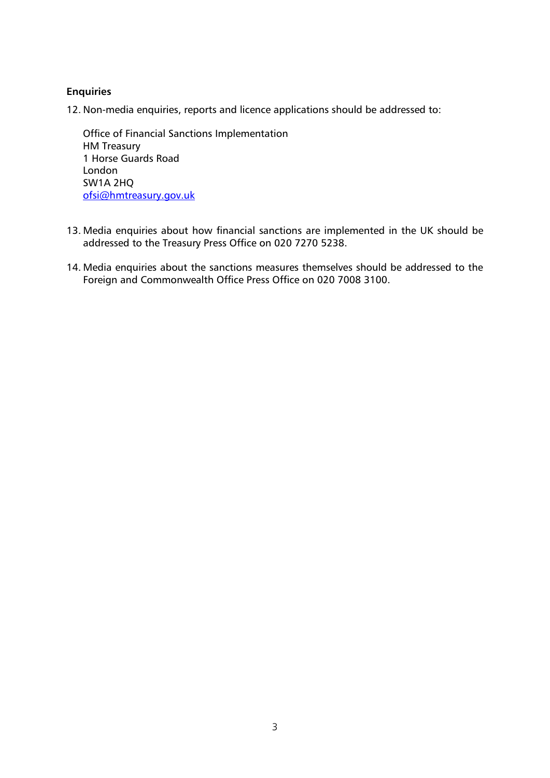# **Enquiries**

12. Non-media enquiries, reports and licence applications should be addressed to:

Office of Financial Sanctions Implementation HM Treasury 1 Horse Guards Road London SW1A 2HQ [ofsi@hmtreasury.gov.uk](mailto:ofsi@hmtreasury.gov.uk)

- 13. Media enquiries about how financial sanctions are implemented in the UK should be addressed to the Treasury Press Office on 020 7270 5238.
- 14. Media enquiries about the sanctions measures themselves should be addressed to the Foreign and Commonwealth Office Press Office on 020 7008 3100.